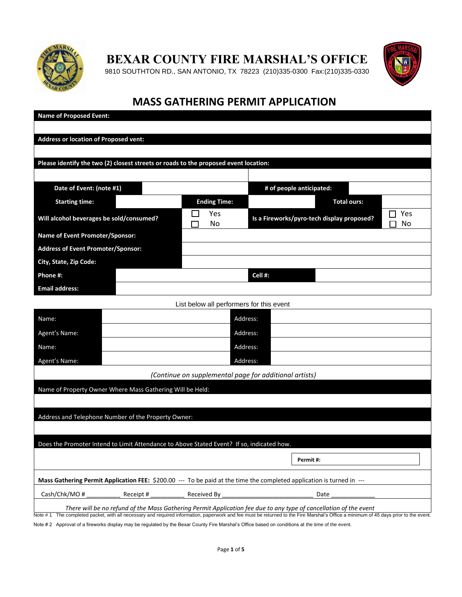

**BEXAR COUNTY FIRE MARSHAL'S OFFICE**

9810 SOUTHTON RD., SAN ANTONIO, TX 78223 (210)335-0300 Fax:(210)335-0330



## **MASS GATHERING PERMIT APPLICATION**

| <b>Name of Proposed Event:</b>                                                                                        |                                                        |                                                                   |  |
|-----------------------------------------------------------------------------------------------------------------------|--------------------------------------------------------|-------------------------------------------------------------------|--|
| <b>Address or location of Proposed vent:</b>                                                                          |                                                        |                                                                   |  |
| Please identify the two (2) closest streets or roads to the proposed event location:                                  |                                                        |                                                                   |  |
|                                                                                                                       |                                                        |                                                                   |  |
| Date of Event: (note #1)                                                                                              |                                                        | # of people anticipated:                                          |  |
| <b>Starting time:</b>                                                                                                 | <b>Ending Time:</b>                                    | <b>Total ours:</b>                                                |  |
| Will alcohol beverages be sold/consumed?                                                                              | Yes<br>No                                              | Yes<br>$\Box$<br>Is a Fireworks/pyro-tech display proposed?<br>No |  |
| Name of Event Promoter/Sponsor:                                                                                       |                                                        |                                                                   |  |
| Address of Event Promoter/Sponsor:                                                                                    |                                                        |                                                                   |  |
| City, State, Zip Code:                                                                                                |                                                        |                                                                   |  |
| Phone #:                                                                                                              |                                                        | Cell #:                                                           |  |
| <b>Email address:</b>                                                                                                 |                                                        |                                                                   |  |
|                                                                                                                       | List below all performers for this event               |                                                                   |  |
| Name:                                                                                                                 | Address:                                               |                                                                   |  |
| Agent's Name:                                                                                                         | Address:                                               |                                                                   |  |
| Name:                                                                                                                 | Address:                                               |                                                                   |  |
| Agent's Name:                                                                                                         | Address:                                               |                                                                   |  |
|                                                                                                                       | (Continue on supplemental page for additional artists) |                                                                   |  |
| Name of Property Owner Where Mass Gathering Will be Held:                                                             |                                                        |                                                                   |  |
|                                                                                                                       |                                                        |                                                                   |  |
| Address and Telephone Number of the Property Owner:                                                                   |                                                        |                                                                   |  |
|                                                                                                                       |                                                        |                                                                   |  |
| Does the Promoter Intend to Limit Attendance to Above Stated Event? If so, indicated how.                             |                                                        |                                                                   |  |
|                                                                                                                       |                                                        | Permit#:                                                          |  |
| Mass Gathering Permit Application FEE: \$200.00 --- To be paid at the time the completed application is turned in --- |                                                        |                                                                   |  |
| Cash/Chk/MO#<br>Receipt #                                                                                             | Received By                                            | Date                                                              |  |

*There will be no refund of the Mass Gathering Permit Application fee due to any type of cancellation of the event*  Note #1 The completed packet, with all necessary and required information, paperwork and fee must be returned to the Fire Marshal's Office a minimum of 45 days prior to the event.

Note # 2 Approval of a fireworks display may be regulated by the Bexar County Fire Marshal's Office based on conditions at the time of the event.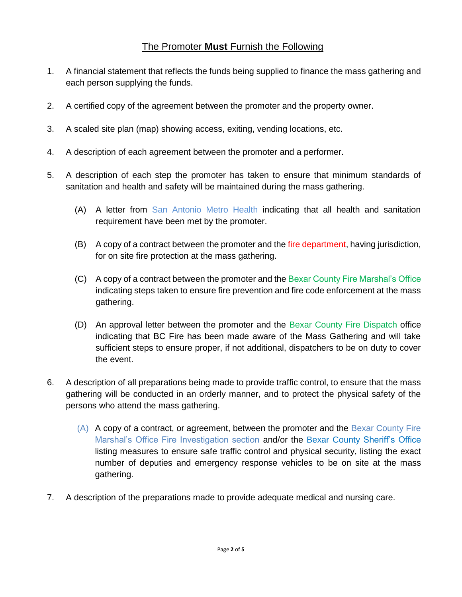## The Promoter **Must** Furnish the Following

- 1. A financial statement that reflects the funds being supplied to finance the mass gathering and each person supplying the funds.
- 2. A certified copy of the agreement between the promoter and the property owner.
- 3. A scaled site plan (map) showing access, exiting, vending locations, etc.
- 4. A description of each agreement between the promoter and a performer.
- 5. A description of each step the promoter has taken to ensure that minimum standards of sanitation and health and safety will be maintained during the mass gathering.
	- (A) A letter from San Antonio Metro Health indicating that all health and sanitation requirement have been met by the promoter.
	- (B) A copy of a contract between the promoter and the fire department, having jurisdiction, for on site fire protection at the mass gathering.
	- (C) A copy of a contract between the promoter and the Bexar County Fire Marshal's Office indicating steps taken to ensure fire prevention and fire code enforcement at the mass gathering.
	- (D) An approval letter between the promoter and the Bexar County Fire Dispatch office indicating that BC Fire has been made aware of the Mass Gathering and will take sufficient steps to ensure proper, if not additional, dispatchers to be on duty to cover the event.
- 6. A description of all preparations being made to provide traffic control, to ensure that the mass gathering will be conducted in an orderly manner, and to protect the physical safety of the persons who attend the mass gathering.
	- (A) A copy of a contract, or agreement, between the promoter and the Bexar County Fire Marshal's Office Fire Investigation section and/or the Bexar County Sheriff's Office listing measures to ensure safe traffic control and physical security, listing the exact number of deputies and emergency response vehicles to be on site at the mass gathering.
- 7. A description of the preparations made to provide adequate medical and nursing care.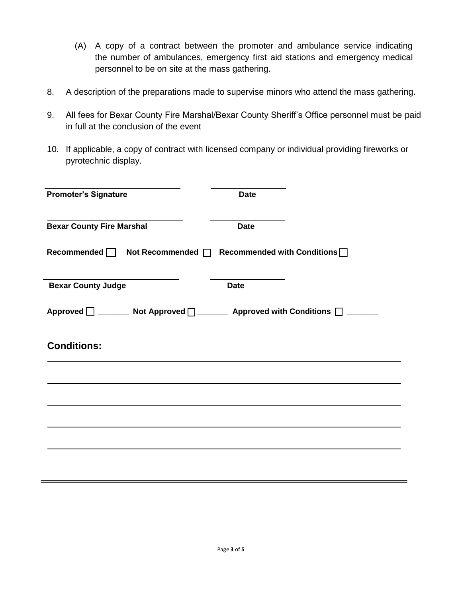- (A) A copy of a contract between the promoter and ambulance service indicating the number of ambulances, emergency first aid stations and emergency medical personnel to be on site at the mass gathering.
- 8. A description of the preparations made to supervise minors who attend the mass gathering.
- 9. All fees for Bexar County Fire Marshal/Bexar County Sheriff's Office personnel must be paid in full at the conclusion of the event
- 10. If applicable, a copy of contract with licensed company or individual providing fireworks or pyrotechnic display.

| <b>Promoter's Signature</b>                                                | <b>Date</b> |
|----------------------------------------------------------------------------|-------------|
| <b>Bexar County Fire Marshal</b>                                           | <b>Date</b> |
| Recommended   Not Recommended   Recommended with Conditions                |             |
| <b>Bexar County Judge</b>                                                  | <b>Date</b> |
| Approved □ _______ Not Approved □ ______ Approved with Conditions □ ______ |             |
| <b>Conditions:</b>                                                         |             |
|                                                                            |             |
|                                                                            |             |
|                                                                            |             |
|                                                                            |             |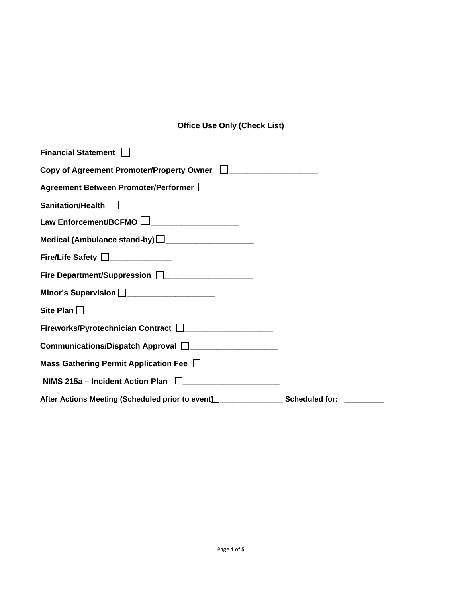## **Office Use Only (Check List)**

| Sanitation/Health <u>J</u> _____________________                                                                                                                                                                               |  |
|--------------------------------------------------------------------------------------------------------------------------------------------------------------------------------------------------------------------------------|--|
| Law Enforcement/BCFMO LI_____________________                                                                                                                                                                                  |  |
| Medical (Ambulance stand-by) $\square$                                                                                                                                                                                         |  |
| Fire/Life Safety <u>Decrees</u>                                                                                                                                                                                                |  |
|                                                                                                                                                                                                                                |  |
| Minor's Supervision <u>December 2008</u>                                                                                                                                                                                       |  |
| Site Plan <u>Descriptions</u>                                                                                                                                                                                                  |  |
| Fireworks/Pyrotechnician Contract DUCLARED AND THE REPORT OF THE REPORT OF THE REPORT OF THE REPORT OF THE REPORT OF THE REPORT OF THE REPORT OF THE REPORT OF THE REPORT OF THE REPORT OF THE REPORT OF THE REPORT OF THE REP |  |
|                                                                                                                                                                                                                                |  |
|                                                                                                                                                                                                                                |  |
|                                                                                                                                                                                                                                |  |
|                                                                                                                                                                                                                                |  |